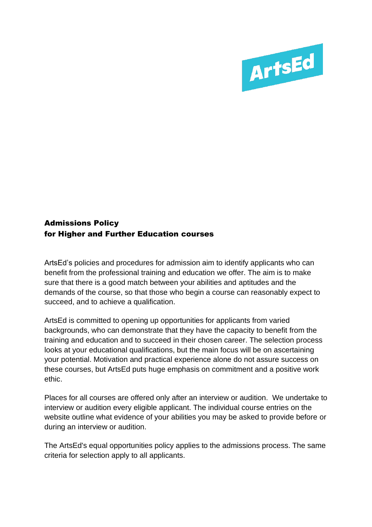

## Admissions Policy for Higher and Further Education courses

ArtsEd's policies and procedures for admission aim to identify applicants who can benefit from the professional training and education we offer. The aim is to make sure that there is a good match between your abilities and aptitudes and the demands of the course, so that those who begin a course can reasonably expect to succeed, and to achieve a qualification.

ArtsEd is committed to opening up opportunities for applicants from varied backgrounds, who can demonstrate that they have the capacity to benefit from the training and education and to succeed in their chosen career. The selection process looks at your educational qualifications, but the main focus will be on ascertaining your potential. Motivation and practical experience alone do not assure success on these courses, but ArtsEd puts huge emphasis on commitment and a positive work ethic.

Places for all courses are offered only after an interview or audition. We undertake to interview or audition every eligible applicant. The individual course entries on the website outline what evidence of your abilities you may be asked to provide before or during an interview or audition.

The ArtsEd's equal opportunities policy applies to the admissions process. The same criteria for selection apply to all applicants.